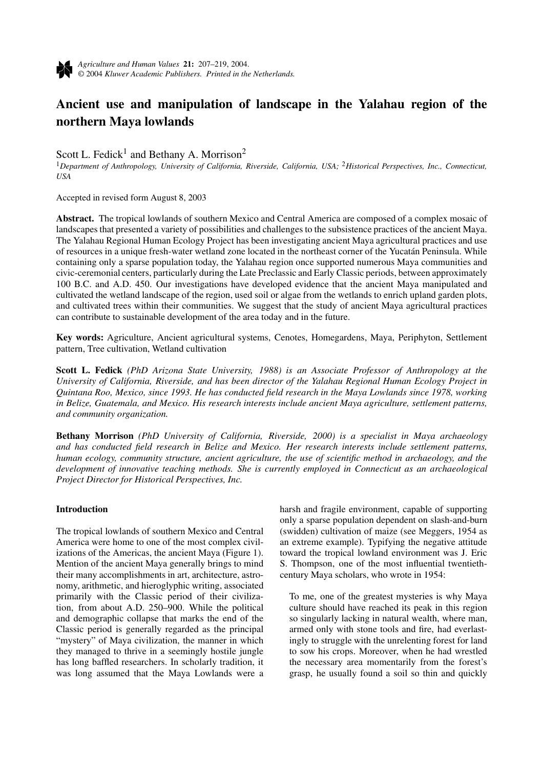

*Agriculture and Human Values* **21:** 207–219, 2004. © 2004 *Kluwer Academic Publishers. Printed in the Netherlands.*

# **Ancient use and manipulation of landscape in the Yalahau region of the northern Maya lowlands**

Scott L. Fedick<sup>1</sup> and Bethany A. Morrison<sup>2</sup>

<sup>1</sup>*Department of Anthropology, University of California, Riverside, California, USA;* <sup>2</sup>*Historical Perspectives, Inc., Connecticut, USA*

Accepted in revised form August 8, 2003

**Abstract.** The tropical lowlands of southern Mexico and Central America are composed of a complex mosaic of landscapes that presented a variety of possibilities and challenges to the subsistence practices of the ancient Maya. The Yalahau Regional Human Ecology Project has been investigating ancient Maya agricultural practices and use of resources in a unique fresh-water wetland zone located in the northeast corner of the Yucatán Peninsula. While containing only a sparse population today, the Yalahau region once supported numerous Maya communities and civic-ceremonial centers, particularly during the Late Preclassic and Early Classic periods, between approximately 100 B.C. and A.D. 450. Our investigations have developed evidence that the ancient Maya manipulated and cultivated the wetland landscape of the region, used soil or algae from the wetlands to enrich upland garden plots, and cultivated trees within their communities. We suggest that the study of ancient Maya agricultural practices can contribute to sustainable development of the area today and in the future.

**Key words:** Agriculture, Ancient agricultural systems, Cenotes, Homegardens, Maya, Periphyton, Settlement pattern, Tree cultivation, Wetland cultivation

**Scott L. Fedick** *(PhD Arizona State University, 1988) is an Associate Professor of Anthropology at the University of California, Riverside, and has been director of the Yalahau Regional Human Ecology Project in Quintana Roo, Mexico, since 1993. He has conducted field research in the Maya Lowlands since 1978, working in Belize, Guatemala, and Mexico. His research interests include ancient Maya agriculture, settlement patterns, and community organization.*

**Bethany Morrison** *(PhD University of California, Riverside, 2000) is a specialist in Maya archaeology and has conducted field research in Belize and Mexico. Her research interests include settlement patterns, human ecology, community structure, ancient agriculture, the use of scientific method in archaeology, and the development of innovative teaching methods. She is currently employed in Connecticut as an archaeological Project Director for Historical Perspectives, Inc.*

## **Introduction**

The tropical lowlands of southern Mexico and Central America were home to one of the most complex civilizations of the Americas, the ancient Maya (Figure 1). Mention of the ancient Maya generally brings to mind their many accomplishments in art, architecture, astronomy, arithmetic, and hieroglyphic writing, associated primarily with the Classic period of their civilization, from about A.D. 250–900. While the political and demographic collapse that marks the end of the Classic period is generally regarded as the principal "mystery" of Maya civilization, the manner in which they managed to thrive in a seemingly hostile jungle has long baffled researchers. In scholarly tradition, it was long assumed that the Maya Lowlands were a harsh and fragile environment, capable of supporting only a sparse population dependent on slash-and-burn (swidden) cultivation of maize (see Meggers, 1954 as an extreme example). Typifying the negative attitude toward the tropical lowland environment was J. Eric S. Thompson, one of the most influential twentiethcentury Maya scholars, who wrote in 1954:

To me, one of the greatest mysteries is why Maya culture should have reached its peak in this region so singularly lacking in natural wealth, where man, armed only with stone tools and fire, had everlastingly to struggle with the unrelenting forest for land to sow his crops. Moreover, when he had wrestled the necessary area momentarily from the forest's grasp, he usually found a soil so thin and quickly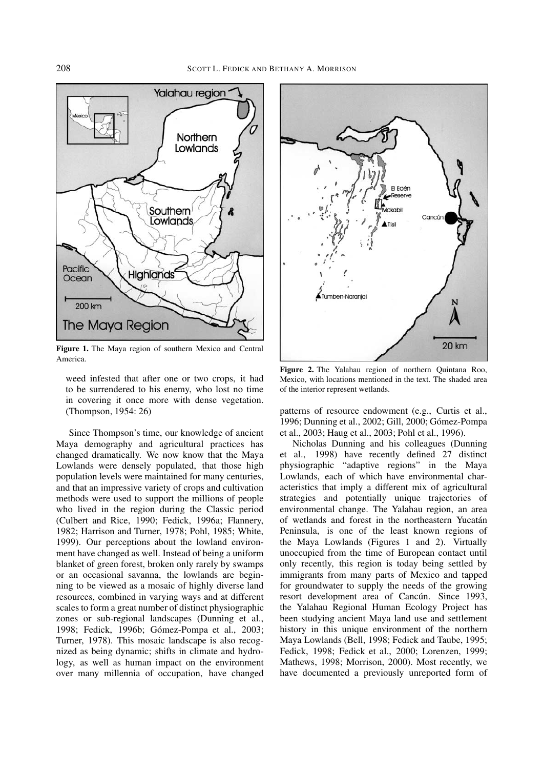

**Figure 1.** The Maya region of southern Mexico and Central America.

weed infested that after one or two crops, it had to be surrendered to his enemy, who lost no time in covering it once more with dense vegetation. (Thompson, 1954: 26)

Since Thompson's time, our knowledge of ancient Maya demography and agricultural practices has changed dramatically. We now know that the Maya Lowlands were densely populated, that those high population levels were maintained for many centuries, and that an impressive variety of crops and cultivation methods were used to support the millions of people who lived in the region during the Classic period (Culbert and Rice, 1990; Fedick, 1996a; Flannery, 1982; Harrison and Turner, 1978; Pohl, 1985; White, 1999). Our perceptions about the lowland environment have changed as well. Instead of being a uniform blanket of green forest, broken only rarely by swamps or an occasional savanna, the lowlands are beginning to be viewed as a mosaic of highly diverse land resources, combined in varying ways and at different scales to form a great number of distinct physiographic zones or sub-regional landscapes (Dunning et al., 1998; Fedick, 1996b; Gómez-Pompa et al., 2003; Turner, 1978). This mosaic landscape is also recognized as being dynamic; shifts in climate and hydrology, as well as human impact on the environment over many millennia of occupation, have changed



**Figure 2.** The Yalahau region of northern Quintana Roo, Mexico, with locations mentioned in the text. The shaded area of the interior represent wetlands.

patterns of resource endowment (e.g., Curtis et al., 1996; Dunning et al., 2002; Gill, 2000; Gómez-Pompa et al., 2003; Haug et al., 2003; Pohl et al., 1996).

Nicholas Dunning and his colleagues (Dunning et al., 1998) have recently defined 27 distinct physiographic "adaptive regions" in the Maya Lowlands, each of which have environmental characteristics that imply a different mix of agricultural strategies and potentially unique trajectories of environmental change. The Yalahau region, an area of wetlands and forest in the northeastern Yucatán Peninsula, is one of the least known regions of the Maya Lowlands (Figures 1 and 2). Virtually unoccupied from the time of European contact until only recently, this region is today being settled by immigrants from many parts of Mexico and tapped for groundwater to supply the needs of the growing resort development area of Cancún. Since 1993, the Yalahau Regional Human Ecology Project has been studying ancient Maya land use and settlement history in this unique environment of the northern Maya Lowlands (Bell, 1998; Fedick and Taube, 1995; Fedick, 1998; Fedick et al., 2000; Lorenzen, 1999; Mathews, 1998; Morrison, 2000). Most recently, we have documented a previously unreported form of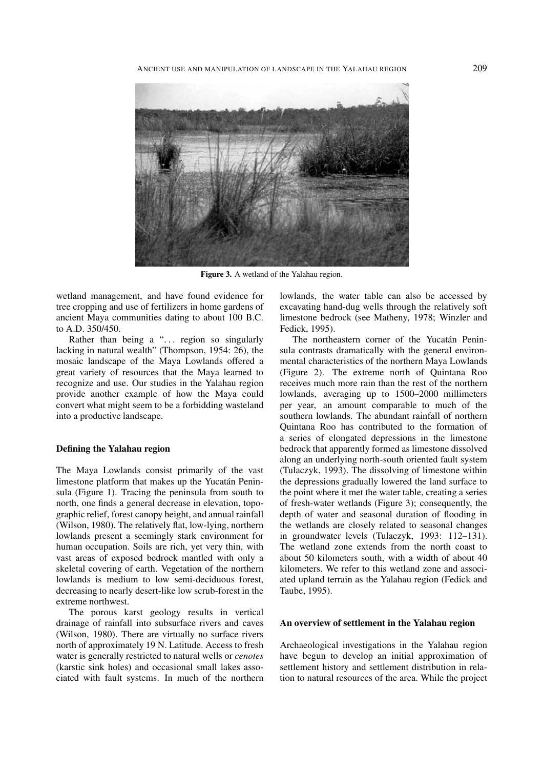ANCIENT USE AND MANIPULATION OF LANDSCAPE IN THE YALAHAU REGION 209



**Figure 3.** A wetland of the Yalahau region.

wetland management, and have found evidence for tree cropping and use of fertilizers in home gardens of ancient Maya communities dating to about 100 B.C. to A.D. 350/450.

Rather than being a "*...* region so singularly lacking in natural wealth" (Thompson, 1954: 26), the mosaic landscape of the Maya Lowlands offered a great variety of resources that the Maya learned to recognize and use. Our studies in the Yalahau region provide another example of how the Maya could convert what might seem to be a forbidding wasteland into a productive landscape.

## **Defining the Yalahau region**

The Maya Lowlands consist primarily of the vast limestone platform that makes up the Yucatán Peninsula (Figure 1). Tracing the peninsula from south to north, one finds a general decrease in elevation, topographic relief, forest canopy height, and annual rainfall (Wilson, 1980). The relatively flat, low-lying, northern lowlands present a seemingly stark environment for human occupation. Soils are rich, yet very thin, with vast areas of exposed bedrock mantled with only a skeletal covering of earth. Vegetation of the northern lowlands is medium to low semi-deciduous forest, decreasing to nearly desert-like low scrub-forest in the extreme northwest.

The porous karst geology results in vertical drainage of rainfall into subsurface rivers and caves (Wilson, 1980). There are virtually no surface rivers north of approximately 19 N. Latitude. Access to fresh water is generally restricted to natural wells or *cenotes* (karstic sink holes) and occasional small lakes associated with fault systems. In much of the northern lowlands, the water table can also be accessed by excavating hand-dug wells through the relatively soft limestone bedrock (see Matheny, 1978; Winzler and Fedick, 1995).

The northeastern corner of the Yucatán Peninsula contrasts dramatically with the general environmental characteristics of the northern Maya Lowlands (Figure 2). The extreme north of Quintana Roo receives much more rain than the rest of the northern lowlands, averaging up to 1500–2000 millimeters per year, an amount comparable to much of the southern lowlands. The abundant rainfall of northern Quintana Roo has contributed to the formation of a series of elongated depressions in the limestone bedrock that apparently formed as limestone dissolved along an underlying north-south oriented fault system (Tulaczyk, 1993). The dissolving of limestone within the depressions gradually lowered the land surface to the point where it met the water table, creating a series of fresh-water wetlands (Figure 3); consequently, the depth of water and seasonal duration of flooding in the wetlands are closely related to seasonal changes in groundwater levels (Tulaczyk, 1993: 112–131). The wetland zone extends from the north coast to about 50 kilometers south, with a width of about 40 kilometers. We refer to this wetland zone and associated upland terrain as the Yalahau region (Fedick and Taube, 1995).

# **An overview of settlement in the Yalahau region**

Archaeological investigations in the Yalahau region have begun to develop an initial approximation of settlement history and settlement distribution in relation to natural resources of the area. While the project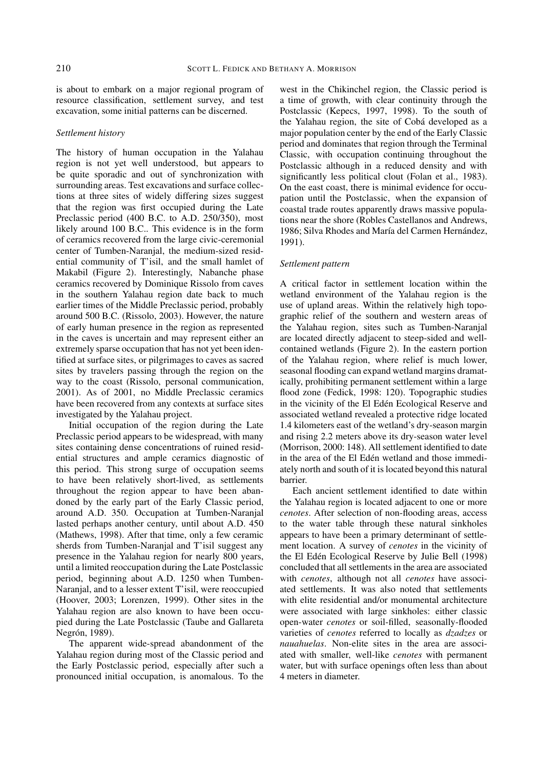is about to embark on a major regional program of resource classification, settlement survey, and test excavation, some initial patterns can be discerned.

#### *Settlement history*

The history of human occupation in the Yalahau region is not yet well understood, but appears to be quite sporadic and out of synchronization with surrounding areas. Test excavations and surface collections at three sites of widely differing sizes suggest that the region was first occupied during the Late Preclassic period (400 B.C. to A.D. 250/350), most likely around 100 B.C.. This evidence is in the form of ceramics recovered from the large civic-ceremonial center of Tumben-Naranjal, the medium-sized residential community of T'isil, and the small hamlet of Makabil (Figure 2). Interestingly, Nabanche phase ceramics recovered by Dominique Rissolo from caves in the southern Yalahau region date back to much earlier times of the Middle Preclassic period, probably around 500 B.C. (Rissolo, 2003). However, the nature of early human presence in the region as represented in the caves is uncertain and may represent either an extremely sparse occupation that has not yet been identified at surface sites, or pilgrimages to caves as sacred sites by travelers passing through the region on the way to the coast (Rissolo, personal communication, 2001). As of 2001, no Middle Preclassic ceramics have been recovered from any contexts at surface sites investigated by the Yalahau project.

Initial occupation of the region during the Late Preclassic period appears to be widespread, with many sites containing dense concentrations of ruined residential structures and ample ceramics diagnostic of this period. This strong surge of occupation seems to have been relatively short-lived, as settlements throughout the region appear to have been abandoned by the early part of the Early Classic period, around A.D. 350. Occupation at Tumben-Naranjal lasted perhaps another century, until about A.D. 450 (Mathews, 1998). After that time, only a few ceramic sherds from Tumben-Naranjal and T'isil suggest any presence in the Yalahau region for nearly 800 years, until a limited reoccupation during the Late Postclassic period, beginning about A.D. 1250 when Tumben-Naranjal, and to a lesser extent T'isil, were reoccupied (Hoover, 2003; Lorenzen, 1999). Other sites in the Yalahau region are also known to have been occupied during the Late Postclassic (Taube and Gallareta Negrón, 1989).

The apparent wide-spread abandonment of the Yalahau region during most of the Classic period and the Early Postclassic period, especially after such a pronounced initial occupation, is anomalous. To the

west in the Chikinchel region, the Classic period is a time of growth, with clear continuity through the Postclassic (Kepecs, 1997, 1998). To the south of the Yalahau region, the site of Cobá developed as a major population center by the end of the Early Classic period and dominates that region through the Terminal Classic, with occupation continuing throughout the Postclassic although in a reduced density and with significantly less political clout (Folan et al., 1983). On the east coast, there is minimal evidence for occupation until the Postclassic, when the expansion of coastal trade routes apparently draws massive populations near the shore (Robles Castellanos and Andrews, 1986; Silva Rhodes and María del Carmen Hernández, 1991).

# *Settlement pattern*

A critical factor in settlement location within the wetland environment of the Yalahau region is the use of upland areas. Within the relatively high topographic relief of the southern and western areas of the Yalahau region, sites such as Tumben-Naranjal are located directly adjacent to steep-sided and wellcontained wetlands (Figure 2). In the eastern portion of the Yalahau region, where relief is much lower, seasonal flooding can expand wetland margins dramatically, prohibiting permanent settlement within a large flood zone (Fedick, 1998: 120). Topographic studies in the vicinity of the El Edén Ecological Reserve and associated wetland revealed a protective ridge located 1.4 kilometers east of the wetland's dry-season margin and rising 2.2 meters above its dry-season water level (Morrison, 2000: 148). All settlement identified to date in the area of the El Edén wetland and those immediately north and south of it is located beyond this natural barrier.

Each ancient settlement identified to date within the Yalahau region is located adjacent to one or more *cenotes*. After selection of non-flooding areas, access to the water table through these natural sinkholes appears to have been a primary determinant of settlement location. A survey of *cenotes* in the vicinity of the El Edén Ecological Reserve by Julie Bell (1998) concluded that all settlements in the area are associated with *cenotes*, although not all *cenotes* have associated settlements. It was also noted that settlements with elite residential and/or monumental architecture were associated with large sinkholes: either classic open-water *cenotes* or soil-filled, seasonally-flooded varieties of *cenotes* referred to locally as *dzadzes* or *nauahuelas*. Non-elite sites in the area are associated with smaller, well-like *cenotes* with permanent water, but with surface openings often less than about 4 meters in diameter.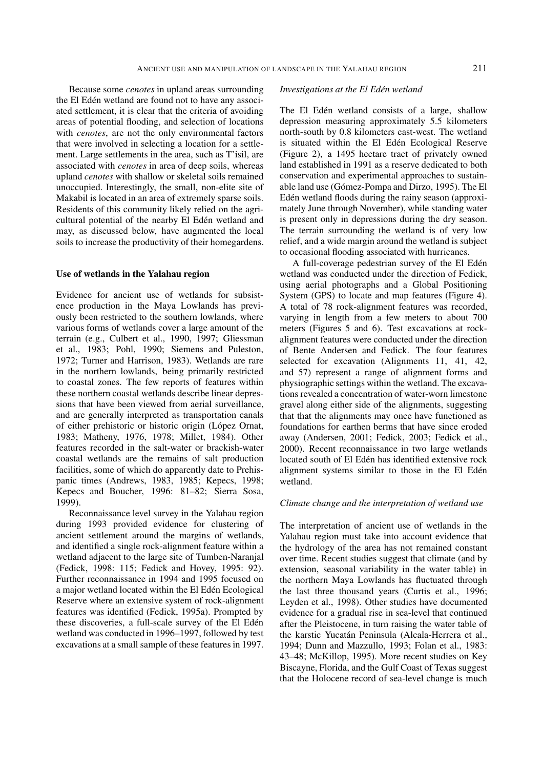Because some *cenotes* in upland areas surrounding the El Edén wetland are found not to have any associated settlement, it is clear that the criteria of avoiding areas of potential flooding, and selection of locations with *cenotes*, are not the only environmental factors that were involved in selecting a location for a settlement. Large settlements in the area, such as T'isil, are associated with *cenotes* in area of deep soils, whereas upland *cenotes* with shallow or skeletal soils remained unoccupied. Interestingly, the small, non-elite site of Makabil is located in an area of extremely sparse soils. Residents of this community likely relied on the agricultural potential of the nearby El Edén wetland and may, as discussed below, have augmented the local soils to increase the productivity of their homegardens.

## **Use of wetlands in the Yalahau region**

Evidence for ancient use of wetlands for subsistence production in the Maya Lowlands has previously been restricted to the southern lowlands, where various forms of wetlands cover a large amount of the terrain (e.g., Culbert et al., 1990, 1997; Gliessman et al., 1983; Pohl, 1990; Siemens and Puleston, 1972; Turner and Harrison, 1983). Wetlands are rare in the northern lowlands, being primarily restricted to coastal zones. The few reports of features within these northern coastal wetlands describe linear depressions that have been viewed from aerial surveillance, and are generally interpreted as transportation canals of either prehistoric or historic origin (López Ornat, 1983; Matheny, 1976, 1978; Millet, 1984). Other features recorded in the salt-water or brackish-water coastal wetlands are the remains of salt production facilities, some of which do apparently date to Prehispanic times (Andrews, 1983, 1985; Kepecs, 1998; Kepecs and Boucher, 1996: 81–82; Sierra Sosa, 1999).

Reconnaissance level survey in the Yalahau region during 1993 provided evidence for clustering of ancient settlement around the margins of wetlands, and identified a single rock-alignment feature within a wetland adjacent to the large site of Tumben-Naranjal (Fedick, 1998: 115; Fedick and Hovey, 1995: 92). Further reconnaissance in 1994 and 1995 focused on a major wetland located within the El Edén Ecological Reserve where an extensive system of rock-alignment features was identified (Fedick, 1995a). Prompted by these discoveries, a full-scale survey of the El Edén wetland was conducted in 1996–1997, followed by test excavations at a small sample of these features in 1997.

#### *Investigations at the El Edén wetland*

The El Edén wetland consists of a large, shallow depression measuring approximately 5.5 kilometers north-south by 0.8 kilometers east-west. The wetland is situated within the El Edén Ecological Reserve (Figure 2), a 1495 hectare tract of privately owned land established in 1991 as a reserve dedicated to both conservation and experimental approaches to sustainable land use (Gómez-Pompa and Dirzo, 1995). The El Edén wetland floods during the rainy season (approximately June through November), while standing water is present only in depressions during the dry season. The terrain surrounding the wetland is of very low relief, and a wide margin around the wetland is subject to occasional flooding associated with hurricanes.

A full-coverage pedestrian survey of the El Edén wetland was conducted under the direction of Fedick, using aerial photographs and a Global Positioning System (GPS) to locate and map features (Figure 4). A total of 78 rock-alignment features was recorded, varying in length from a few meters to about 700 meters (Figures 5 and 6). Test excavations at rockalignment features were conducted under the direction of Bente Andersen and Fedick. The four features selected for excavation (Alignments 11, 41, 42, and 57) represent a range of alignment forms and physiographic settings within the wetland. The excavations revealed a concentration of water-worn limestone gravel along either side of the alignments, suggesting that that the alignments may once have functioned as foundations for earthen berms that have since eroded away (Andersen, 2001; Fedick, 2003; Fedick et al., 2000). Recent reconnaissance in two large wetlands located south of El Edén has identified extensive rock alignment systems similar to those in the El Edén wetland.

#### *Climate change and the interpretation of wetland use*

The interpretation of ancient use of wetlands in the Yalahau region must take into account evidence that the hydrology of the area has not remained constant over time. Recent studies suggest that climate (and by extension, seasonal variability in the water table) in the northern Maya Lowlands has fluctuated through the last three thousand years (Curtis et al., 1996; Leyden et al., 1998). Other studies have documented evidence for a gradual rise in sea-level that continued after the Pleistocene, in turn raising the water table of the karstic Yucatán Peninsula (Alcala-Herrera et al., 1994; Dunn and Mazzullo, 1993; Folan et al., 1983: 43–48; McKillop, 1995). More recent studies on Key Biscayne, Florida, and the Gulf Coast of Texas suggest that the Holocene record of sea-level change is much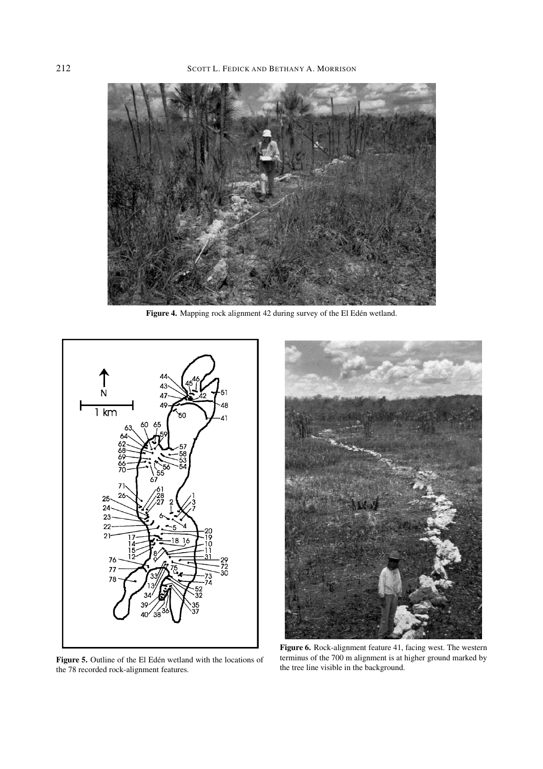

Figure 4. Mapping rock alignment 42 during survey of the El Edén wetland.



Figure 5. Outline of the El Edén wetland with the locations of the 78 recorded rock-alignment features.



**Figure 6.** Rock-alignment feature 41, facing west. The western terminus of the 700 m alignment is at higher ground marked by the tree line visible in the background.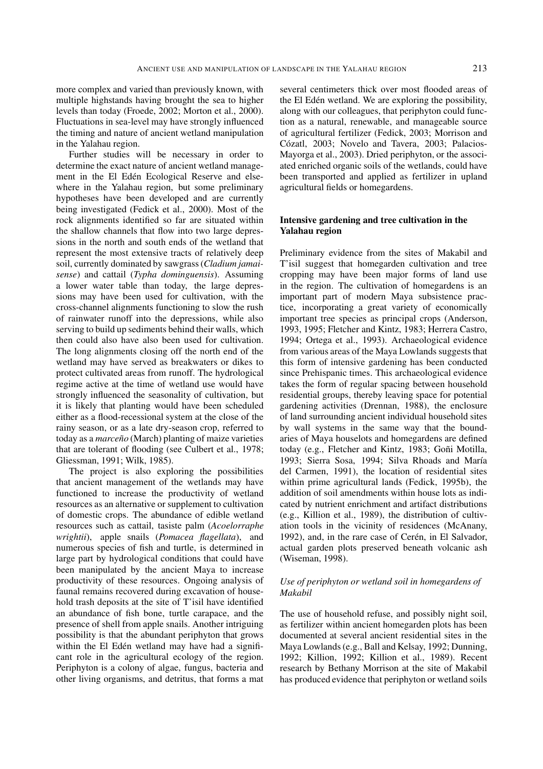more complex and varied than previously known, with multiple highstands having brought the sea to higher levels than today (Froede, 2002; Morton et al., 2000). Fluctuations in sea-level may have strongly influenced the timing and nature of ancient wetland manipulation in the Yalahau region.

Further studies will be necessary in order to determine the exact nature of ancient wetland management in the El Edén Ecological Reserve and elsewhere in the Yalahau region, but some preliminary hypotheses have been developed and are currently being investigated (Fedick et al., 2000). Most of the rock alignments identified so far are situated within the shallow channels that flow into two large depressions in the north and south ends of the wetland that represent the most extensive tracts of relatively deep soil, currently dominated by sawgrass (*Cladium jamaisense*) and cattail (*Typha dominguensis*). Assuming a lower water table than today, the large depressions may have been used for cultivation, with the cross-channel alignments functioning to slow the rush of rainwater runoff into the depressions, while also serving to build up sediments behind their walls, which then could also have also been used for cultivation. The long alignments closing off the north end of the wetland may have served as breakwaters or dikes to protect cultivated areas from runoff. The hydrological regime active at the time of wetland use would have strongly influenced the seasonality of cultivation, but it is likely that planting would have been scheduled either as a flood-recessional system at the close of the rainy season, or as a late dry-season crop, referred to today as a *marceño* (March) planting of maize varieties that are tolerant of flooding (see Culbert et al., 1978; Gliessman, 1991; Wilk, 1985).

The project is also exploring the possibilities that ancient management of the wetlands may have functioned to increase the productivity of wetland resources as an alternative or supplement to cultivation of domestic crops. The abundance of edible wetland resources such as cattail, tasiste palm (*Acoelorraphe wrightii*), apple snails (*Pomacea flagellata*), and numerous species of fish and turtle, is determined in large part by hydrological conditions that could have been manipulated by the ancient Maya to increase productivity of these resources. Ongoing analysis of faunal remains recovered during excavation of household trash deposits at the site of T'isil have identified an abundance of fish bone, turtle carapace, and the presence of shell from apple snails. Another intriguing possibility is that the abundant periphyton that grows within the El Edén wetland may have had a significant role in the agricultural ecology of the region. Periphyton is a colony of algae, fungus, bacteria and other living organisms, and detritus, that forms a mat several centimeters thick over most flooded areas of the El Edén wetland. We are exploring the possibility, along with our colleagues, that periphyton could function as a natural, renewable, and manageable source of agricultural fertilizer (Fedick, 2003; Morrison and Cózatl, 2003; Novelo and Tavera, 2003; Palacios-Mayorga et al., 2003). Dried periphyton, or the associated enriched organic soils of the wetlands, could have been transported and applied as fertilizer in upland agricultural fields or homegardens.

## **Intensive gardening and tree cultivation in the Yalahau region**

Preliminary evidence from the sites of Makabil and T'isil suggest that homegarden cultivation and tree cropping may have been major forms of land use in the region. The cultivation of homegardens is an important part of modern Maya subsistence practice, incorporating a great variety of economically important tree species as principal crops (Anderson, 1993, 1995; Fletcher and Kintz, 1983; Herrera Castro, 1994; Ortega et al., 1993). Archaeological evidence from various areas of the Maya Lowlands suggests that this form of intensive gardening has been conducted since Prehispanic times. This archaeological evidence takes the form of regular spacing between household residential groups, thereby leaving space for potential gardening activities (Drennan, 1988), the enclosure of land surrounding ancient individual household sites by wall systems in the same way that the boundaries of Maya houselots and homegardens are defined today (e.g., Fletcher and Kintz, 1983; Goñi Motilla, 1993; Sierra Sosa, 1994; Silva Rhoads and María del Carmen, 1991), the location of residential sites within prime agricultural lands (Fedick, 1995b), the addition of soil amendments within house lots as indicated by nutrient enrichment and artifact distributions (e.g., Killion et al., 1989), the distribution of cultivation tools in the vicinity of residences (McAnany, 1992), and, in the rare case of Cerén, in El Salvador, actual garden plots preserved beneath volcanic ash (Wiseman, 1998).

## *Use of periphyton or wetland soil in homegardens of Makabil*

The use of household refuse, and possibly night soil, as fertilizer within ancient homegarden plots has been documented at several ancient residential sites in the Maya Lowlands (e.g., Ball and Kelsay, 1992; Dunning, 1992; Killion, 1992; Killion et al., 1989). Recent research by Bethany Morrison at the site of Makabil has produced evidence that periphyton or wetland soils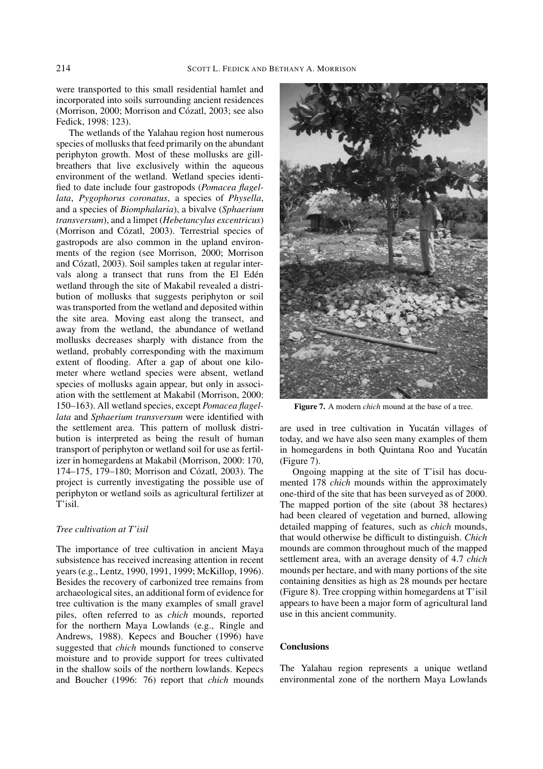were transported to this small residential hamlet and incorporated into soils surrounding ancient residences (Morrison, 2000; Morrison and Cózatl, 2003; see also Fedick, 1998: 123).

The wetlands of the Yalahau region host numerous species of mollusks that feed primarily on the abundant periphyton growth. Most of these mollusks are gillbreathers that live exclusively within the aqueous environment of the wetland. Wetland species identified to date include four gastropods (*Pomacea flagellata*, *Pygophorus coronatus*, a species of *Physella*, and a species of *Biomphalaria*), a bivalve (*Sphaerium transversum*), and a limpet (*Hebetancylus excentricus*) (Morrison and Cózatl, 2003). Terrestrial species of gastropods are also common in the upland environments of the region (see Morrison, 2000; Morrison and Cózatl, 2003). Soil samples taken at regular intervals along a transect that runs from the El Edén wetland through the site of Makabil revealed a distribution of mollusks that suggests periphyton or soil was transported from the wetland and deposited within the site area. Moving east along the transect, and away from the wetland, the abundance of wetland mollusks decreases sharply with distance from the wetland, probably corresponding with the maximum extent of flooding. After a gap of about one kilometer where wetland species were absent, wetland species of mollusks again appear, but only in association with the settlement at Makabil (Morrison, 2000: 150–163). All wetland species, except *Pomacea flagellata* and *Sphaerium transversum* were identified with the settlement area. This pattern of mollusk distribution is interpreted as being the result of human transport of periphyton or wetland soil for use as fertilizer in homegardens at Makabil (Morrison, 2000: 170, 174–175, 179–180; Morrison and Cózatl, 2003). The project is currently investigating the possible use of periphyton or wetland soils as agricultural fertilizer at T'isil.

## *Tree cultivation at T'isil*

The importance of tree cultivation in ancient Maya subsistence has received increasing attention in recent years (e.g., Lentz, 1990, 1991, 1999; McKillop, 1996). Besides the recovery of carbonized tree remains from archaeological sites, an additional form of evidence for tree cultivation is the many examples of small gravel piles, often referred to as *chich* mounds, reported for the northern Maya Lowlands (e.g., Ringle and Andrews, 1988). Kepecs and Boucher (1996) have suggested that *chich* mounds functioned to conserve moisture and to provide support for trees cultivated in the shallow soils of the northern lowlands. Kepecs and Boucher (1996: 76) report that *chich* mounds



**Figure 7.** A modern *chich* mound at the base of a tree.

are used in tree cultivation in Yucatán villages of today, and we have also seen many examples of them in homegardens in both Quintana Roo and Yucatán (Figure 7).

Ongoing mapping at the site of T'isil has documented 178 *chich* mounds within the approximately one-third of the site that has been surveyed as of 2000. The mapped portion of the site (about 38 hectares) had been cleared of vegetation and burned, allowing detailed mapping of features, such as *chich* mounds, that would otherwise be difficult to distinguish. *Chich* mounds are common throughout much of the mapped settlement area, with an average density of 4.7 *chich* mounds per hectare, and with many portions of the site containing densities as high as 28 mounds per hectare (Figure 8). Tree cropping within homegardens at T'isil appears to have been a major form of agricultural land use in this ancient community.

# **Conclusions**

The Yalahau region represents a unique wetland environmental zone of the northern Maya Lowlands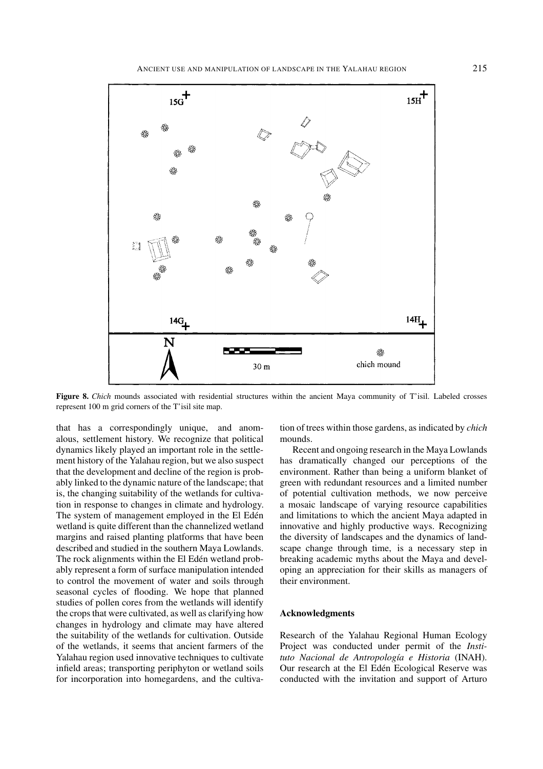

**Figure 8.** *Chich* mounds associated with residential structures within the ancient Maya community of T'isil. Labeled crosses represent 100 m grid corners of the T'isil site map.

that has a correspondingly unique, and anomalous, settlement history. We recognize that political dynamics likely played an important role in the settlement history of the Yalahau region, but we also suspect that the development and decline of the region is probably linked to the dynamic nature of the landscape; that is, the changing suitability of the wetlands for cultivation in response to changes in climate and hydrology. The system of management employed in the El Edén wetland is quite different than the channelized wetland margins and raised planting platforms that have been described and studied in the southern Maya Lowlands. The rock alignments within the El Edén wetland probably represent a form of surface manipulation intended to control the movement of water and soils through seasonal cycles of flooding. We hope that planned studies of pollen cores from the wetlands will identify the crops that were cultivated, as well as clarifying how changes in hydrology and climate may have altered the suitability of the wetlands for cultivation. Outside of the wetlands, it seems that ancient farmers of the Yalahau region used innovative techniques to cultivate infield areas; transporting periphyton or wetland soils for incorporation into homegardens, and the cultiva-

tion of trees within those gardens, as indicated by *chich* mounds.

Recent and ongoing research in the Maya Lowlands has dramatically changed our perceptions of the environment. Rather than being a uniform blanket of green with redundant resources and a limited number of potential cultivation methods, we now perceive a mosaic landscape of varying resource capabilities and limitations to which the ancient Maya adapted in innovative and highly productive ways. Recognizing the diversity of landscapes and the dynamics of landscape change through time, is a necessary step in breaking academic myths about the Maya and developing an appreciation for their skills as managers of their environment.

## **Acknowledgments**

Research of the Yalahau Regional Human Ecology Project was conducted under permit of the *Instituto Nacional de Antropología e Historia* (INAH). Our research at the El Edén Ecological Reserve was conducted with the invitation and support of Arturo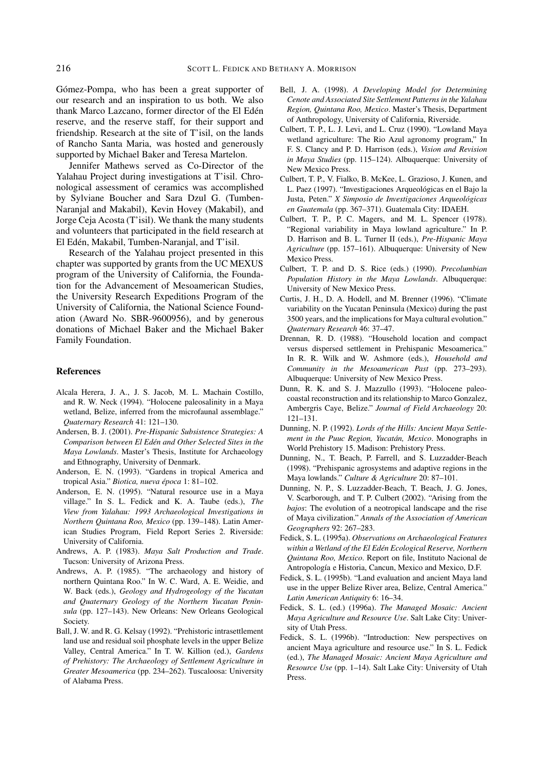Gómez-Pompa, who has been a great supporter of our research and an inspiration to us both. We also thank Marco Lazcano, former director of the El Edén reserve, and the reserve staff, for their support and friendship. Research at the site of T'isil, on the lands of Rancho Santa Maria, was hosted and generously supported by Michael Baker and Teresa Martelon.

Jennifer Mathews served as Co-Director of the Yalahau Project during investigations at T'isil. Chronological assessment of ceramics was accomplished by Sylviane Boucher and Sara Dzul G. (Tumben-Naranjal and Makabil), Kevin Hovey (Makabil), and Jorge Ceja Acosta (T'isil). We thank the many students and volunteers that participated in the field research at El Edén, Makabil, Tumben-Naranjal, and T'isil.

Research of the Yalahau project presented in this chapter was supported by grants from the UC MEXUS program of the University of California, the Foundation for the Advancement of Mesoamerican Studies, the University Research Expeditions Program of the University of California, the National Science Foundation (Award No. SBR-9600956), and by generous donations of Michael Baker and the Michael Baker Family Foundation.

## **References**

- Alcala Herera, J. A., J. S. Jacob, M. L. Machain Costillo, and R. W. Neck (1994). "Holocene paleosalinity in a Maya wetland, Belize, inferred from the microfaunal assemblage." *Quaternary Research* 41: 121–130.
- Andersen, B. J. (2001). *Pre-Hispanic Subsistence Strategies: A Comparison between El Edén and Other Selected Sites in the Maya Lowlands*. Master's Thesis, Institute for Archaeology and Ethnography, University of Denmark.
- Anderson, E. N. (1993). "Gardens in tropical America and tropical Asia." *Biotica, nueva época* 1: 81–102.
- Anderson, E. N. (1995). "Natural resource use in a Maya village." In S. L. Fedick and K. A. Taube (eds.), *The View from Yalahau: 1993 Archaeological Investigations in Northern Quintana Roo, Mexico* (pp. 139–148). Latin American Studies Program, Field Report Series 2. Riverside: University of California.
- Andrews, A. P. (1983). *Maya Salt Production and Trade*. Tucson: University of Arizona Press.
- Andrews, A. P. (1985). "The archaeology and history of northern Quintana Roo." In W. C. Ward, A. E. Weidie, and W. Back (eds.), *Geology and Hydrogeology of the Yucatan and Quaternary Geology of the Northern Yucatan Peninsula* (pp. 127–143). New Orleans: New Orleans Geological Society.
- Ball, J. W. and R. G. Kelsay (1992). "Prehistoric intrasettlement land use and residual soil phosphate levels in the upper Belize Valley, Central America." In T. W. Killion (ed.), *Gardens of Prehistory: The Archaeology of Settlement Agriculture in Greater Mesoamerica* (pp. 234–262). Tuscaloosa: University of Alabama Press.
- Bell, J. A. (1998). *A Developing Model for Determining Cenote and Associated Site Settlement Patterns in the Yalahau Region, Quintana Roo, Mexico*. Master's Thesis, Department of Anthropology, University of California, Riverside.
- Culbert, T. P., L. J. Levi, and L. Cruz (1990). "Lowland Maya wetland agriculture: The Rio Azul agronomy program," In F. S. Clancy and P. D. Harrison (eds.), *Vision and Revision in Maya Studies* (pp. 115–124). Albuquerque: University of New Mexico Press.
- Culbert, T. P., V. Fialko, B. McKee, L. Grazioso, J. Kunen, and L. Paez (1997). "Investigaciones Arqueológicas en el Bajo la Justa, Peten." *X Simposio de Investigaciones Arqueológicas en Guatemala* (pp. 367–371). Guatemala City: IDAEH.
- Culbert, T. P., P. C. Magers, and M. L. Spencer (1978). "Regional variability in Maya lowland agriculture." In P. D. Harrison and B. L. Turner II (eds.), *Pre-Hispanic Maya Agriculture* (pp. 157–161). Albuquerque: University of New Mexico Press.
- Culbert, T. P. and D. S. Rice (eds.) (1990). *Precolumbian Population History in the Maya Lowlands*. Albuquerque: University of New Mexico Press.
- Curtis, J. H., D. A. Hodell, and M. Brenner (1996). "Climate variability on the Yucatan Peninsula (Mexico) during the past 3500 years, and the implications for Maya cultural evolution." *Quaternary Research* 46: 37–47.
- Drennan, R. D. (1988). "Household location and compact versus dispersed settlement in Prehispanic Mesoamerica." In R. R. Wilk and W. Ashmore (eds.), *Household and Community in the Mesoamerican Past* (pp. 273–293). Albuquerque: University of New Mexico Press.
- Dunn, R. K. and S. J. Mazzullo (1993). "Holocene paleocoastal reconstruction and its relationship to Marco Gonzalez, Ambergris Caye, Belize." *Journal of Field Archaeology* 20: 121–131.
- Dunning, N. P. (1992). *Lords of the Hills: Ancient Maya Settlement in the Puuc Region, Yucatán, Mexico*. Monographs in World Prehistory 15. Madison: Prehistory Press.
- Dunning, N., T. Beach, P. Farrell, and S. Luzzadder-Beach (1998). "Prehispanic agrosystems and adaptive regions in the Maya lowlands." *Culture & Agriculture* 20: 87–101.
- Dunning, N. P., S. Luzzadder-Beach, T. Beach, J. G. Jones, V. Scarborough, and T. P. Culbert (2002). "Arising from the *bajos*: The evolution of a neotropical landscape and the rise of Maya civilization." *Annals of the Association of American Geographers* 92: 267–283.
- Fedick, S. L. (1995a). *Observations on Archaeological Features within a Wetland of the El Edén Ecological Reserve, Northern Quintana Roo, Mexico*. Report on file, Instituto Nacional de Antropología e Historia, Cancun, Mexico and Mexico, D.F.
- Fedick, S. L. (1995b). "Land evaluation and ancient Maya land use in the upper Belize River area, Belize, Central America." *Latin American Antiquity* 6: 16–34.
- Fedick, S. L. (ed.) (1996a). *The Managed Mosaic: Ancient Maya Agriculture and Resource Use*. Salt Lake City: University of Utah Press.
- Fedick, S. L. (1996b). "Introduction: New perspectives on ancient Maya agriculture and resource use." In S. L. Fedick (ed.), *The Managed Mosaic: Ancient Maya Agriculture and Resource Use* (pp. 1–14). Salt Lake City: University of Utah Press.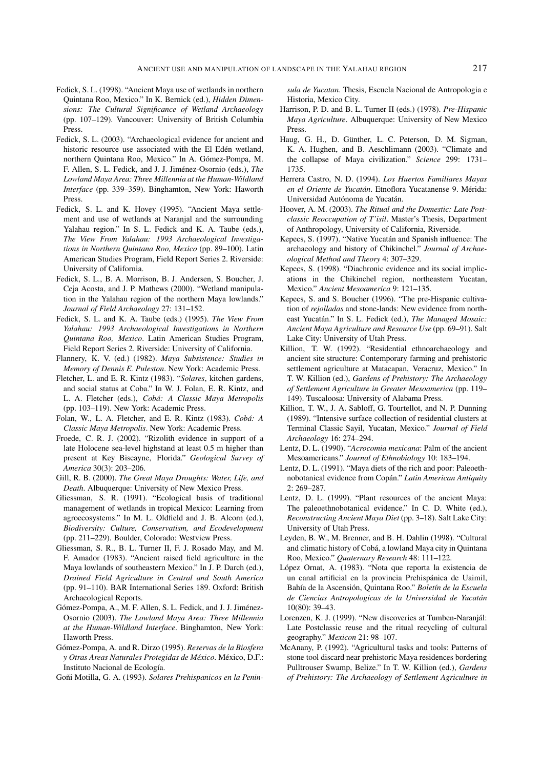- Fedick, S. L. (1998). "Ancient Maya use of wetlands in northern Quintana Roo, Mexico." In K. Bernick (ed.), *Hidden Dimensions: The Cultural Significance of Wetland Archaeology* (pp. 107–129). Vancouver: University of British Columbia Press.
- Fedick, S. L. (2003). "Archaeological evidence for ancient and historic resource use associated with the El Edén wetland, northern Quintana Roo, Mexico." In A. Gómez-Pompa, M. F. Allen, S. L. Fedick, and J. J. Jiménez-Osornio (eds.), *The Lowland Maya Area: Three Millennia at the Human-Wildland Interface* (pp. 339–359). Binghamton, New York: Haworth Press.
- Fedick, S. L. and K. Hovey (1995). "Ancient Maya settlement and use of wetlands at Naranjal and the surrounding Yalahau region." In S. L. Fedick and K. A. Taube (eds.), *The View From Yalahau: 1993 Archaeological Investigations in Northern Quintana Roo, Mexico* (pp. 89–100). Latin American Studies Program, Field Report Series 2. Riverside: University of California.
- Fedick, S. L., B. A. Morrison, B. J. Andersen, S. Boucher, J. Ceja Acosta, and J. P. Mathews (2000). "Wetland manipulation in the Yalahau region of the northern Maya lowlands." *Journal of Field Archaeology* 27: 131–152.
- Fedick, S. L. and K. A. Taube (eds.) (1995). *The View From Yalahau: 1993 Archaeological Investigations in Northern Quintana Roo, Mexico*. Latin American Studies Program, Field Report Series 2. Riverside: University of California.
- Flannery, K. V. (ed.) (1982). *Maya Subsistence: Studies in Memory of Dennis E. Puleston*. New York: Academic Press.
- Fletcher, L. and E. R. Kintz (1983). "*Solares*, kitchen gardens, and social status at Coba." In W. J. Folan, E. R. Kintz, and L. A. Fletcher (eds.), *Cobá: A Classic Maya Metropolis* (pp. 103–119). New York: Academic Press.
- Folan, W., L. A. Fletcher, and E. R. Kintz (1983). *Cobá: A Classic Maya Metropolis*. New York: Academic Press.
- Froede, C. R. J. (2002). "Rizolith evidence in support of a late Holocene sea-level highstand at least 0.5 m higher than present at Key Biscayne, Florida." *Geological Survey of America* 30(3): 203–206.
- Gill, R. B. (2000). *The Great Maya Droughts: Water, Life, and Death*. Albuquerque: University of New Mexico Press.
- Gliessman, S. R. (1991). "Ecological basis of traditional management of wetlands in tropical Mexico: Learning from agroecosystems." In M. L. Oldfield and J. B. Alcorn (ed.), *Biodiversity: Culture, Conservatism, and Ecodevelopment* (pp. 211–229). Boulder, Colorado: Westview Press.
- Gliessman, S. R., B. L. Turner II, F. J. Rosado May, and M. F. Amador (1983). "Ancient raised field agriculture in the Maya lowlands of southeastern Mexico." In J. P. Darch (ed.), *Drained Field Agriculture in Central and South America* (pp. 91–110). BAR International Series 189. Oxford: British Archaeological Reports.
- Gómez-Pompa, A., M. F. Allen, S. L. Fedick, and J. J. Jiménez-Osornio (2003). *The Lowland Maya Area: Three Millennia at the Human-Wildland Interface*. Binghamton, New York: Haworth Press.
- Gómez-Pompa, A. and R. Dirzo (1995). *Reservas de la Biosfera y Otras Areas Naturales Protegidas de México*. México, D.F.: Instituto Nacional de Ecología.
- Goñi Motilla, G. A. (1993). *Solares Prehispanicos en la Penin-*

*sula de Yucatan*. Thesis, Escuela Nacional de Antropologia e Historia, Mexico City.

- Harrison, P. D. and B. L. Turner II (eds.) (1978). *Pre-Hispanic Maya Agriculture*. Albuquerque: University of New Mexico Press.
- Haug, G. H., D. Günther, L. C. Peterson, D. M. Sigman, K. A. Hughen, and B. Aeschlimann (2003). "Climate and the collapse of Maya civilization." *Science* 299: 1731– 1735.
- Herrera Castro, N. D. (1994). *Los Huertos Familiares Mayas en el Oriente de Yucatán*. Etnoflora Yucatanense 9. Mérida: Universidad Autónoma de Yucatán.
- Hoover, A. M. (2003). *The Ritual and the Domestic: Late Postclassic Reoccupation of T'isil*. Master's Thesis, Department of Anthropology, University of California, Riverside.
- Kepecs, S. (1997). "Native Yucatán and Spanish influence: The archaeology and history of Chikinchel." *Journal of Archaeological Method and Theory* 4: 307–329.
- Kepecs, S. (1998). "Diachronic evidence and its social implications in the Chikinchel region, northeastern Yucatan, Mexico." *Ancient Mesoamerica* 9: 121–135.
- Kepecs, S. and S. Boucher (1996). "The pre-Hispanic cultivation of *rejolladas* and stone-lands: New evidence from northeast Yucatán." In S. L. Fedick (ed.), *The Managed Mosaic: Ancient Maya Agriculture and Resource Use* (pp. 69–91). Salt Lake City: University of Utah Press.
- Killion, T. W. (1992). "Residential ethnoarchaeology and ancient site structure: Contemporary farming and prehistoric settlement agriculture at Matacapan, Veracruz, Mexico." In T. W. Killion (ed.), *Gardens of Prehistory: The Archaeology of Settlement Agriculture in Greater Mesoamerica* (pp. 119– 149). Tuscaloosa: University of Alabama Press.
- Killion, T. W., J. A. Sabloff, G. Tourtellot, and N. P. Dunning (1989). "Intensive surface collection of residential clusters at Terminal Classic Sayil, Yucatan, Mexico." *Journal of Field Archaeology* 16: 274–294.
- Lentz, D. L. (1990). "*Acrocomia mexicana*: Palm of the ancient Mesoamericans." *Journal of Ethnobiology* 10: 183–194.
- Lentz, D. L. (1991). "Maya diets of the rich and poor: Paleoethnobotanical evidence from Copán." *Latin American Antiquity* 2: 269–287.
- Lentz, D. L. (1999). "Plant resources of the ancient Maya: The paleoethnobotanical evidence." In C. D. White (ed.), *Reconstructing Ancient Maya Diet* (pp. 3–18). Salt Lake City: University of Utah Press.
- Leyden, B. W., M. Brenner, and B. H. Dahlin (1998). "Cultural and climatic history of Cobá, a lowland Maya city in Quintana Roo, Mexico." *Quaternary Research* 48: 111–122.
- López Ornat, A. (1983). "Nota que reporta la existencia de un canal artificial en la provincia Prehispánica de Uaimil, Bahía de la Ascensión, Quintana Roo." *Boletín de la Escuela de Ciencias Antropologicas de la Universidad de Yucatán* 10(80): 39–43.
- Lorenzen, K. J. (1999). "New discoveries at Tumben-Naranjál: Late Postclassic reuse and the ritual recycling of cultural geography." *Mexicon* 21: 98–107.
- McAnany, P. (1992). "Agricultural tasks and tools: Patterns of stone tool discard near prehistoric Maya residences bordering Pulltrouser Swamp, Belize." In T. W. Killion (ed.), *Gardens of Prehistory: The Archaeology of Settlement Agriculture in*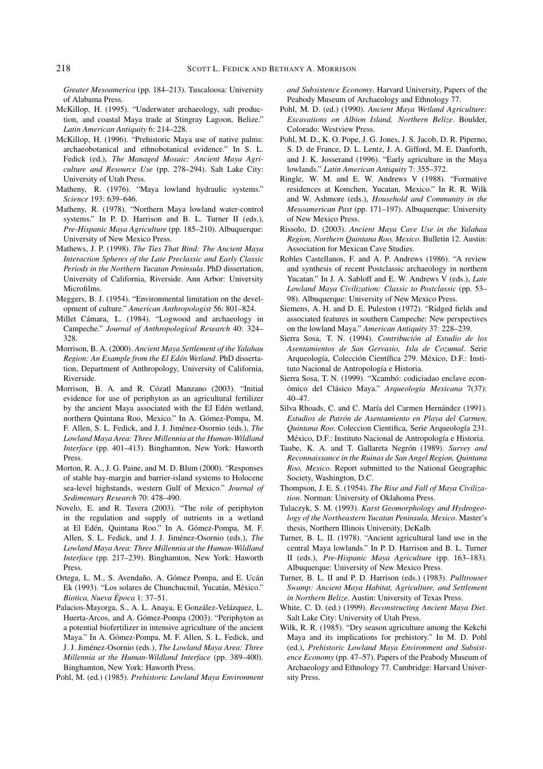*Greater Mesoamerica* (pp. 184–213). Tuscaloosa: University of Alabama Press.

- McKillop, H. (1995). "Underwater archaeology, salt production, and coastal Maya trade at Stingray Lagoon, Belize." *Latin American Antiquity* 6: 214–228.
- McKillop, H. (1996). "Prehistoric Maya use of native palms: archaeobotanical and ethnobotanical evidence." In S. L. Fedick (ed.), *The Managed Mosaic: Ancient Maya Agriculture and Resource Use* (pp. 278–294). Salt Lake City: University of Utah Press.
- Matheny, R. (1976). "Maya lowland hydraulic systems." *Science* 193: 639–646.
- Matheny, R. (1978). "Northern Maya lowland water-control systems." In P. D. Harrison and B. L. Turner II (eds.), *Pre-Hispanic Maya Agriculture* (pp. 185–210). Albuquerque: University of New Mexico Press.
- Mathews, J. P. (1998). *The Ties That Bind: The Ancient Maya Interaction Spheres of the Late Preclassic and Early Classic Periods in the Northern Yucatan Peninsula*. PhD dissertation, University of California, Riverside. Ann Arbor: University Microfilms.
- Meggers, B. J. (1954). "Environmental limitation on the development of culture." *American Anthropologist* 56: 801–824.
- Millet Cámara, L. (1984). "Logwood and archaeology in Campeche." *Journal of Anthropological Research* 40: 324– 328.
- Morrison, B. A. (2000). *Ancient Maya Settlement of the Yalahau Region: An Example from the El Edén Wetland*. PhD dissertation, Department of Anthropology, University of California, Riverside.
- Morrison, B. A. and R. Cózatl Manzano (2003). "Initial evidence for use of periphyton as an agricultural fertilizer by the ancient Maya associated with the El Edén wetland, northern Quintana Roo, Mexico." In A. Gómez-Pompa, M. F. Allen, S. L. Fedick, and J. J. Jiménez-Osornio (eds.), *The Lowland Maya Area: Three Millennia at the Human-Wildland Interface* (pp. 401–413). Binghamton, New York: Haworth Press.
- Morton, R. A., J. G. Paine, and M. D. Blum (2000). "Responses of stable bay-margin and barrier-island systems to Holocene sea-level highstands, western Gulf of Mexico." *Journal of Sedimentary Research* 70: 478–490.
- Novelo, E. and R. Tavera (2003). "The role of periphyton in the regulation and supply of nutrients in a wetland at El Edén, Quintana Roo." In A. Gómez-Pompa, M. F. Allen, S. L. Fedick, and J. J. Jiménez-Osornio (eds.), *The Lowland Maya Area: Three Millennia at the Human-Wildland Interface* (pp. 217–239). Binghamton, New York: Haworth Press.
- Ortega, L. M., S. Avendaño, A. Gómez Pompa, and E. Ucán Ek (1993). "Los solares de Chunchucmil, Yucatán, México." *Biotica, Nueva Época* 1: 37–51.
- Palacios-Mayorga, S., A. L. Anaya, E González-Velázquez, L. Huerta-Arcos, and A. Gómez-Pompa (2003). "Periphyton as a potential biofertilizer in intensive agriculture of the ancient Maya." In A. Gómez-Pompa, M. F. Allen, S. L. Fedick, and J. J. Jiménez-Osornio (eds.), *The Lowland Maya Area: Three Millennia at the Human-Wildland Interface* (pp. 389–400). Binghamton, New York: Haworth Press.
- Pohl, M. (ed.) (1985). *Prehistoric Lowland Maya Environment*

*and Subsistence Economy*. Harvard University, Papers of the Peabody Museum of Archaeology and Ethnology 77.

- Pohl, M. D. (ed.) (1990). *Ancient Maya Wetland Agriculture: Excavations on Albion Island, Northern Belize*. Boulder, Colorado: Westview Press.
- Pohl, M. D., K. O. Pope, J. G. Jones, J. S. Jacob, D. R. Piperno, S. D. de France, D. L. Lentz, J. A. Gifford, M. E. Danforth, and J. K. Josserand (1996). "Early agriculture in the Maya lowlands." *Latin American Antiquity* 7: 355–372.
- Ringle, W. M. and E. W. Andrews V (1988). "Formative residences at Komchen, Yucatan, Mexico." In R. R. Wilk and W. Ashmore (eds.), *Household and Community in the Mesoamerican Past* (pp. 171–197). Albuquerque: University of New Mexico Press.
- Rissolo, D. (2003). *Ancient Maya Cave Use in the Yalahau Region, Northern Quintana Roo, Mexico*. Bulletin 12. Austin: Association for Mexican Cave Studies.
- Robles Castellanos, F. and A. P. Andrews (1986). "A review and synthesis of recent Postclassic archaeology in northern Yucatan." In J. A. Sabloff and E. W. Andrews V (eds.), *Late Lowland Maya Civilization: Classic to Postclassic* (pp. 53– 98). Albuquerque: University of New Mexico Press.
- Siemens, A. H. and D. E. Puleston (1972). "Ridged fields and associated features in southern Campeche: New perspectives on the lowland Maya." *American Antiquity* 37: 228–239.
- Sierra Sosa, T. N. (1994). *Contribución al Estudio de los Asentamientos de San Gervasio, Isla de Cozumal*. Serie Arqueología, Colección Científica 279. México, D.F.: Instituto Nacional de Antropología e Historia.
- Sierra Sosa, T. N. (1999). "Xcambó: codiciadao enclave económico del Clásico Maya." *Arqueología Mexicana* 7(37): 40–47.
- Silva Rhoads, C. and C. María del Carmen Hernández (1991). *Estudios de Patrón de Asentamiento en Playa del Carmen, Quintana Roo*. Coleccion Cientifica, Serie Arqueología 231. México, D.F.: Instituto Nacional de Antropología e Historia.
- Taube, K. A. and T. Gallareta Negrón (1989). *Survey and Reconnaissance in the Ruinas de San Angel Region, Quintana Roo, Mexico*. Report submitted to the National Geographic Society, Washington, D.C.
- Thompson, J. E. S. (1954). *The Rise and Fall of Maya Civilization*. Norman: University of Oklahoma Press.
- Tulaczyk, S. M. (1993). *Karst Geomorphology and Hydrogeology of the Northeastern Yucatan Peninsula, Mexico*. Master's thesis, Northern Illinois University, DeKalb.
- Turner, B. L. II. (1978). "Ancient agricultural land use in the central Maya lowlands." In P. D. Harrison and B. L. Turner II (eds.), *Pre-Hispanic Maya Agriculture* (pp. 163–183). Albuquerque: University of New Mexico Press.
- Turner, B. L. II and P. D. Harrison (eds.) (1983). *Pulltrouser Swamp: Ancient Maya Habitat, Agriculture, and Settlement in Northern Belize*. Austin: University of Texas Press.
- White, C. D. (ed.) (1999). *Reconstructing Ancient Maya Diet*. Salt Lake City: University of Utah Press.
- Wilk, R. R. (1985). "Dry season agriculture among the Kekchi Maya and its implications for prehistory." In M. D. Pohl (ed.), *Prehistoric Lowland Maya Environment and Subsistence Economy* (pp. 47–57). Papers of the Peabody Museum of Archaeology and Ethnology 77. Cambridge: Harvard University Press.